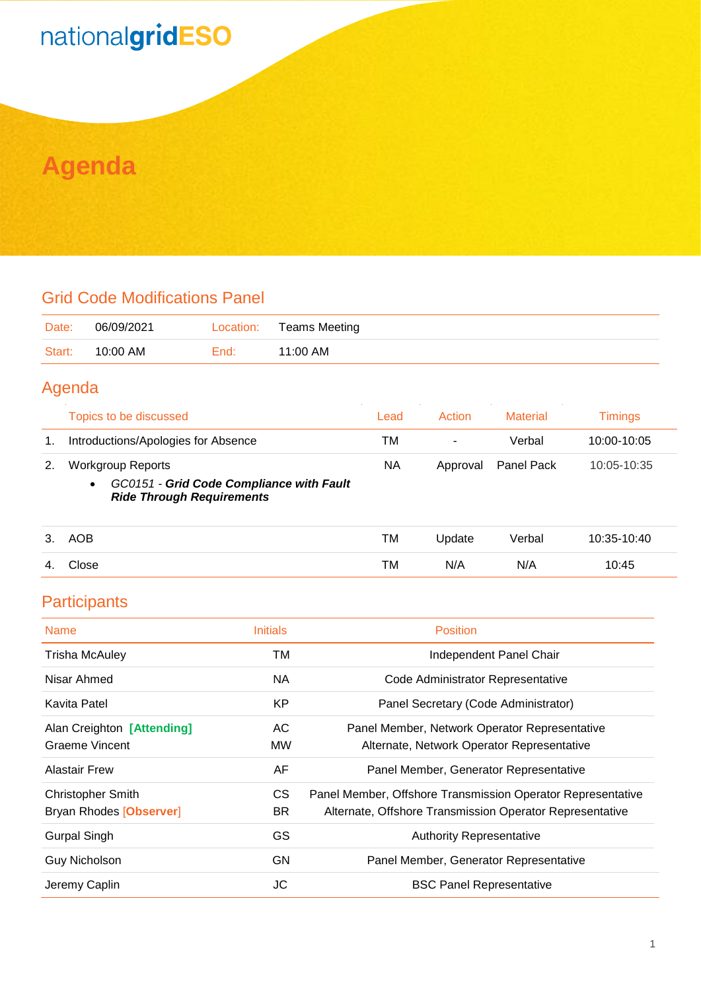## nationalgridESO

### **Agenda**

#### Grid Code Modifications Panel

| Date:  | 06/09/2021 | Location: | Teams Meeting |
|--------|------------|-----------|---------------|
| Start: | 10:00 AM   | End:      | 11:00 AM      |

#### Agenda

|    | Topics to be discussed                                                                                                | Lead | <b>Action</b> | Material          | Timinas     |
|----|-----------------------------------------------------------------------------------------------------------------------|------|---------------|-------------------|-------------|
| 1. | Introductions/Apologies for Absence                                                                                   | тм   | -             | Verbal            | 10:00-10:05 |
| 2. | <b>Workgroup Reports</b><br>GC0151 - Grid Code Compliance with Fault<br>$\bullet$<br><b>Ride Through Requirements</b> |      | Approval      | <b>Panel Pack</b> | 10:05-10:35 |

| 3.  | AOB   | TM | <b>Jpdate</b> | Verbal | 10:35-10:40 |
|-----|-------|----|---------------|--------|-------------|
| -4. | Close | TM | N/A           | N/A    | 10:45       |

#### **Participants**

| <b>Name</b>                | <b>Initials</b> | <b>Position</b>                                             |
|----------------------------|-----------------|-------------------------------------------------------------|
| <b>Trisha McAuley</b>      | TM              | Independent Panel Chair                                     |
| Nisar Ahmed                | <b>NA</b>       | Code Administrator Representative                           |
| Kavita Patel               | <b>KP</b>       | Panel Secretary (Code Administrator)                        |
| Alan Creighton [Attending] | AC              | Panel Member, Network Operator Representative               |
| <b>Graeme Vincent</b>      | <b>MW</b>       | Alternate, Network Operator Representative                  |
| <b>Alastair Frew</b>       | AF              | Panel Member, Generator Representative                      |
| <b>Christopher Smith</b>   | CS.             | Panel Member, Offshore Transmission Operator Representative |
| Bryan Rhodes [Observer]    | BR.             | Alternate, Offshore Transmission Operator Representative    |
| <b>Gurpal Singh</b>        | GS              | <b>Authority Representative</b>                             |
| Guy Nicholson              | GN              | Panel Member, Generator Representative                      |
| Jeremy Caplin              | JС              | <b>BSC Panel Representative</b>                             |